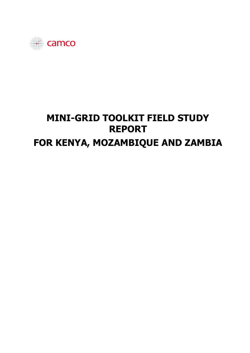

# **MINI-GRID TOOLKIT FIELD STUDY REPORT FOR KENYA, MOZAMBIQUE AND ZAMBIA**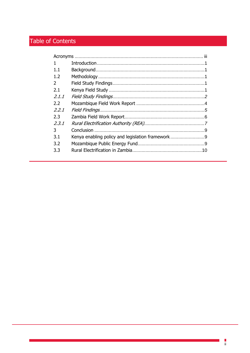## Table of Contents

| 1             |                                                  |  |
|---------------|--------------------------------------------------|--|
| $1.1\,$       |                                                  |  |
| 1.2           |                                                  |  |
| $\mathcal{P}$ |                                                  |  |
| 2.1           |                                                  |  |
| 2.1.1         |                                                  |  |
| 2.2           |                                                  |  |
| 2.2.1         |                                                  |  |
| 2.3           |                                                  |  |
| 2.3.1         |                                                  |  |
| 3             |                                                  |  |
| 3.1           | Kenya enabling policy and legislation framework9 |  |
| 3.2           |                                                  |  |
| 3.3           |                                                  |  |
|               |                                                  |  |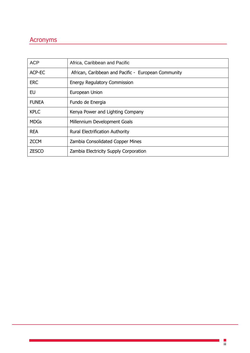## <span id="page-2-0"></span>Acronyms

| <b>ACP</b>   | Africa, Caribbean and Pacific                       |
|--------------|-----------------------------------------------------|
| ACP-EC       | African, Caribbean and Pacific - European Community |
| <b>ERC</b>   | <b>Energy Regulatory Commission</b>                 |
| EU           | European Union                                      |
| <b>FUNEA</b> | Fundo de Energia                                    |
| <b>KPLC</b>  | Kenya Power and Lighting Company                    |
| <b>MDGs</b>  | Millennium Development Goals                        |
| <b>REA</b>   | <b>Rural Electrification Authority</b>              |
| <b>ZCCM</b>  | Zambia Consolidated Copper Mines                    |
| <b>ZESCO</b> | Zambia Electricity Supply Corporation               |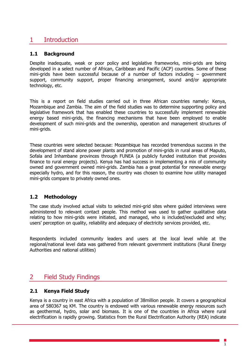## <span id="page-3-0"></span>1 Introduction

#### <span id="page-3-1"></span>**1.1 Background**

Despite inadequate, weak or poor policy and legislative frameworks, mini-grids are being developed in a select number of African, Caribbean and Pacific (ACP) countries. Some of these mini-grids have been successful because of a number of factors including – government support, community support, proper financing arrangement, sound and/or appropriate technology, etc.

This is a report on field studies carried out in three African countries namely: Kenya, Mozambique and Zambia. The aim of the field studies was to determine supporting policy and legislative framework that has enabled these countries to successfully implement renewable energy based mini-grids, the financing mechanisms that have been employed to enable development of such mini-grids and the ownership, operation and management structures of mini-grids.

These countries were selected because: Mozambique has recorded tremendous success in the development of stand alone power plants and promotion of mini-grids in rural areas of Maputo, Sofala and Inhambane provinces through FUNEA (a publicly funded institution that provides finance to rural energy projects). Kenya has had success in implementing a mix of community owned and government owned mini-grids. Zambia has a great potential for renewable energy especially hydro, and for this reason, the country was chosen to examine how utility managed mini-grids compare to privately owned ones.

#### <span id="page-3-2"></span>**1.2 Methodology**

The case study involved actual visits to selected mini-grid sites where guided interviews were administered to relevant contact people. This method was used to gather qualitative data relating to how mini-grids were initiated, and managed, who is included/excluded and why; users' perception on quality, reliability and adequacy of electricity services provided, etc.

Respondents included community leaders and users at the local level while at the regional/national level data was gathered from relevant government institutions (Rural Energy Authorities and national utilities)

## <span id="page-3-3"></span>2 Field Study Findings

#### <span id="page-3-4"></span>**2.1 Kenya Field Study**

Kenya is a country in east Africa with a population of 38million people. It covers a geographical area of 580367 sq KM. The country is endowed with various renewable energy resources such as geothermal, hydro, solar and biomass. It is one of the countries in Africa where rural electrification is rapidly growing. Statistics from the Rural Electrification Authority (REA) indicate

1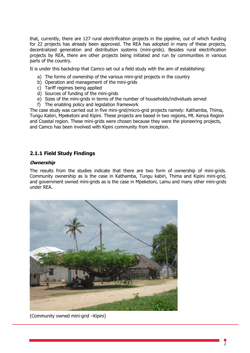that, currently, there are 127 rural electrification projects in the pipeline, out of which funding for 22 projects has already been approved. The REA has adopted in many of these projects, decentralized generation and distribution systems (mini-grids). Besides rural electrification projects by REA, there are other projects being initiated and run by communities in various parts of the country.

It is under this backdrop that Camco set out a field study with the aim of establishing:

- a) The forms of ownership of the various mini-grid projects in the country
- b) Operation and management of the mini-grids
- c) Tariff regimes being applied
- d) Sources of funding of the mini-grids
- e) Sizes of the mini-grids in terms of the number of households/individuals served
- f) The enabling policy and legislation framework

The case study was carried out in five mini-grid/micro-grid projects namely: Kathamba, Thima, Tungu Kabiri, Mpeketoni and Kipini. These projects are based in two regions, Mt. Kenya Region and Coastal region. These mini-grids were chosen because they were the pioneering projects, and Camco has been involved with Kipini community from inception.

#### <span id="page-4-0"></span>**2.1.1 Field Study Findings**

#### **Ownership**

The results from the studies indicate that there are two form of ownership of mini-grids. Community ownership as is the case in Kathamba, Tungu kabiri, Thima and Kipini mini-grid, and government owned mini-grids as is the case in Mpeketoni, Lamu and many other mini-grids under REA.



(Community owned mini-grid –Kipini)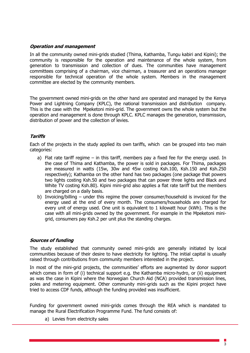#### **Operation and management**

In all the community owned mini-grids studied (Thima, Kathamba, Tungu kabiri and Kipini); the community is responsible for the operation and maintenance of the whole system, from generation to transmission and collection of dues. The communities have management committees comprising of a chairman, vice chairman, a treasurer and an operations manager responsible for technical operation of the whole system. Members in the management committee are elected by the community members.

The government owned mini-grids on the other hand are operated and managed by the Kenya Power and Lightning Company (KPLC), the national transmission and distribution company. This is the case with the Mpeketoni mini-grid. The government owns the whole system but the operation and management is done through KPLC. KPLC manages the generation, transmission, distribution of power and the collection of levies.

#### **Tariffs**

Each of the projects in the study applied its own tariffs, which can be grouped into two main categories:

- a) Flat rate tariff regime in this tariff, members pay a fixed fee for the energy used. In the case of Thima and Kathamba, the power is sold in packages. For Thima, packages are measured in watts (15w, 30w and 45w costing Ksh.100, Ksh.150 and Ksh.250 respectively); Kathamba on the other hand has two packages (one package that powers two lights costing Ksh.50 and two packages that can power three lights and Black and White TV costing Ksh.80). Kipini mini-grid also applies a flat rate tariff but the members are charged on a daily basis.
- b) Invoicing/billing under this regime the power consumer/household is invoiced for the energy used at the end of every month. The consumers/households are charged for every unit of energy used. One unit is equivalent to 1 kilowatt hour (kWh). This is the case with all mini-grids owned by the government. For example in the Mpeketoni minigrid, consumers pay Ksh.2 per unit plus the standing charges.

#### **Sources of funding**

The study established that community owned mini-grids are generally initiated by local communities because of their desire to have electricity for lighting. The initial capital is usually raised through contributions from community members interested in the project.

In most of the mini-grid projects, the communities' efforts are augmented by donor support which comes in form of (i) technical support e.g. the Kathamba micro-hydro, or (ii) equipment as was the case in Kipini where the Norwegian Church Aid (NCA) provided transmission lines, poles and metering equipment. Other community mini-grids such as the Kipini project have tried to access CDF funds, although the funding provided was insufficient.

Funding for government owned mini-grids comes through the REA which is mandated to manage the Rural Electrification Programme Fund. The fund consists of:

a) Levies from electricity sales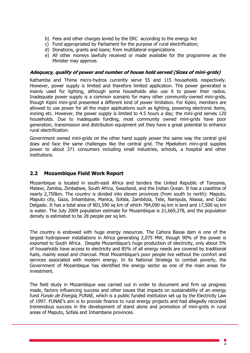- b) Fees and other charges levied by the ERC according to the energy Act
- c) Fund appropriated by Parliament for the purpose of rural electrification;
- d) Donations, grants and loans; from multilateral organizations
- e) All other moneys lawfully received or made available for the programme as the Minister may approve.

#### **Adequacy, quality of power and number of house hold served (Sizes of mini-grids)**

Kathamba and Thima micro-hydros currently serve 55 and 115 households respectively. However, power supply is limited and therefore limited application. The power generated is mainly used for lighting, although some households also use it to power their radios. Inadequate power supply is a common scenario for many other community-owned mini-grids, though Kipini mini-grid presented a different kind of power limitation. For Kipini, members are allowed to use power for all the major applications such as lighting, powering electronic items, ironing etc. However, the power supply is limited to 4.5 hours a day; the mini-grid serves 120 households. Due to inadequate funding, most community owned mini-grids have poor generation, transmission and distribution equipment yet they have a great potential to enhance rural electrification.

Government owned mini-grids on the other hand supply power the same way the central grid does and face the same challenges like the central grid. The Mpeketoni mini-grid supplies power to about 371 consumers including small industries, schools, a hospital and other institutions.

#### <span id="page-6-0"></span>**2.2 Mozambique Field Work Report**

Mozambique is located in south-east Africa and borders the United Republic of Tanzania, Malawi, Zambia, Zimbabwe, South Africa, Swaziland, and the Indian Ocean. It has a coastline of nearly 2,750km. The country is divided into eleven provinces (from south to north): Maputo, Maputo city, Gaza, Inhambane, Manica, Sofala, Zambézia, Tete, Nampula, Niassa, and Cabo Delgado. It has a total area of 801,590 sq km of which 784,090 sq km is land and 17,500 sq km is water. The July 2009 population estimate for Mozambique is 21,669,278, and the population density is estimated to be 28 people per sq km.

The country is endowed with huge energy resources. The Cahora Bassa dam is one of the largest hydropower installations in Africa generating 2,075 MW, though 90% of the power is exported to South Africa. Despite Mozambique's huge production of electricity, only about 5% of households have access to electricity and 85% of all energy needs are covered by traditional fuels, mainly wood and charcoal. Most Mozambique's poor people live without the comfort and services associated with modern energy. In its National Strategy to combat poverty, the Government of Mozambique has identified the energy sector as one of the main areas for investment.

The field study in Mozambique was carried out in order to document and firm up progress made, factors influencing success and other issues that impacts on sustainability of an energy fund Fundo de Energia, FUNAE, which is a public funded institution set up by the Electricity Law of 1997. FUNAE's aim is to provide finance to rural energy projects and had allegedly recorded tremendous success in the development of stand alone and promotion of mini-grids in rural areas of Maputo, Sofala and Inhambane provinces.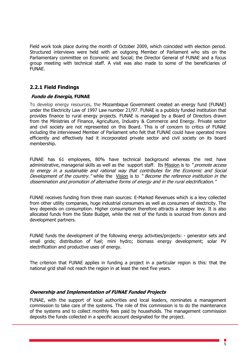Field work took place during the month of October 2009, which coincided with election period. Structured interviews were held with an outgoing Member of Parliament who sits on the Parliamentary committee on Economic and Social; the Director General of FUNAE and a focus group meeting with technical staff. A visit was also made to some of the beneficiaries of FUNAE.

#### <span id="page-7-0"></span>**2.2.1 Field Findings**

#### **Fundo de Energia, FUNAE**

To develop energy resources, the Mozambique Government created an energy fund (FUNAE) under the Electricity Law of 1997 Law number 21/97. FUNAE is a publicly funded institution that provides finance to rural energy projects. FUNAE is managed by a Board of Directors drawn from the Ministries of Finance, Agriculture, Industry & Commerce and Energy. Private sector and civil society are not represented on this Board. This is of concern to critics of FUNAE including the interviewed Member of Parliament who felt that FUNAE could have operated more efficiently and effectively had it incorporated private sector and civil society on its board membership.

FUNAE has 61 employees, 80% have technical background whereas the rest have administrative, managerial skills as well as the support staff. Its Mission is to "*promote access* to energy in a sustainable and rational way that contributes for the Economic and Social Development of the country." while the Vision is to " Become the reference institution in the dissemination and promotion of alternative forms of energy and in the rural electrification."

FUNAE receives funding from three main sources: E-Marked Revenues which is a levy collected from other utility companies, huge industrial consumers as well as consumers of electricity. The levy depends on consumption. Higher consumption therefore attracts a steeper levy. It is also allocated funds from the State Budget, while the rest of the funds is sourced from donors and development partners.

FUNAE funds the development of the following energy activities/projects: - generator sets and small grids; distribution of fuel; mini hydro; biomass energy development; solar PV electrification and productive uses of energy.

The criterion that FUNAE applies in funding a project in a particular region is this: that the national grid shall not reach the region in at least the next five years.

#### **Ownership and Implementation of FUNAE Funded Projects**

FUNAE, with the support of local authorities and local leaders, nominates a management commission to take care of the systems. The role of this commission is to do the maintenance of the systems and to collect monthly fees paid by households. The management commission deposits the funds collected in a specific account designated for the project.

5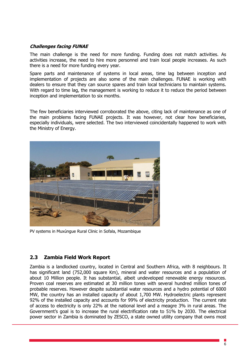#### **Challenges facing FUNAE**

The main challenge is the need for more funding. Funding does not match activities. As activities increase, the need to hire more personnel and train local people increases. As such there is a need for more funding every year.

Spare parts and maintenance of systems in local areas, time lag between inception and implementation of projects are also some of the main challenges. FUNAE is working with dealers to ensure that they can source spares and train local technicians to maintain systems. With regard to time lag, the management is working to reduce it to reduce the period between inception and implementation to six months.

The few beneficiaries interviewed corroborated the above, citing lack of maintenance as one of the main problems facing FUNAE projects. It was however, not clear how beneficiaries, especially individuals, were selected. The two interviewed coincidentally happened to work with the Ministry of Energy.



PV systems in Muxúngue Rural Clinic in Sofala, Mozambique

#### <span id="page-8-0"></span>**2.3 Zambia Field Work Report**

Zambia is a landlocked country, located in Central and Southern Africa, with 8 neighbours. It has significant land (752,000 square Km), mineral and water resources and a population of about 10 Million people. It has substantial, albeit undeveloped renewable energy resources. Proven coal reserves are estimated at 30 million tones with several hundred million tones of probable reserves. However despite substantial water resources and a hydro potential of 6000 MW, the country has an installed capacity of about 1,700 MW. Hydroelectric plants represent 92% of the installed capacity and accounts for 99% of electricity production. The current rate of access to electricity is only 22% at the national level and a meagre 3% in rural areas. The Government's goal is to increase the rural electrification rate to 51% by 2030. The electrical power sector in Zambia is dominated by ZESCO, a state owned utility company that owns most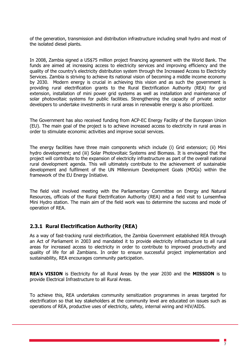of the generation, transmission and distribution infrastructure including small hydro and most of the isolated diesel plants.

In 2008, Zambia signed a US\$75 million project financing agreement with the World Bank. The funds are aimed at increasing access to electricity services and improving efficiency and the quality of the country's electricity distribution system through the Increased Access to Electricity Services. Zambia is striving to achieve its national vision of becoming a middle income economy by 2030. Modern energy is crucial in achieving this vision and as such the government is providing rural electrification grants to the Rural Electrification Authority (REA) for grid extension, installation of mini power grid systems as well as installation and maintenance of solar photovoltaic systems for public facilities. Strengthening the capacity of private sector developers to undertake investments in rural areas in renewable energy is also prioritized.

The Government has also received funding from ACP-EC Energy Facility of the European Union (EU). The main goal of the project is to achieve increased access to electricity in rural areas in order to stimulate economic activities and improve social services.

The energy facilities have three main components which include (i) Grid extension; (ii) Mini hydro development; and (iii) Solar Photovoltaic Systems and Biomass. It is envisaged that the project will contribute to the expansion of electricity infrastructure as part of the overall national rural development agenda. This will ultimately contribute to the achievement of sustainable development and fulfilment of the UN Millennium Development Goals (MDGs) within the framework of the EU Energy Initiative.

The field visit involved meeting with the Parliamentary Committee on Energy and Natural Resources, officials of the Rural Electrification Authority (REA) and a field visit to Lunsemfwa Mini Hydro station. The main aim of the field work was to determine the success and mode of operation of REA.

#### <span id="page-9-0"></span>**2.3.1 Rural Electrification Authority (REA)**

As a way of fast-tracking rural electrification, the Zambia Government established REA through an Act of Parliament in 2003 and mandated it to provide electricity infrastructure to all rural areas for increased access to electricity in order to contribute to improved productivity and quality of life for all Zambians. In order to ensure successful project implementation and sustainability, REA encourages community participation.

**REA's VISION** is Electricity for all Rural Areas by the year 2030 and the **MISSION** is to provide Electrical Infrastructure to all Rural Areas.

To achieve this, REA undertakes community sensitization programmes in areas targeted for electrification so that key stakeholders at the community level are educated on issues such as operations of REA, productive uses of electricity, safety, internal wiring and HIV/AIDS.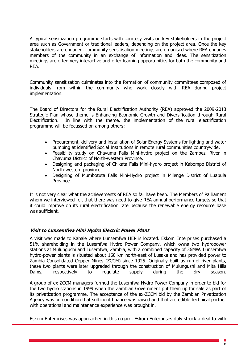A typical sensitization programme starts with courtesy visits on key stakeholders in the project area such as Government or traditional leaders, depending on the project area. Once the key stakeholders are engaged, community sensitisation meetings are organised where REA engages members of the community in an exchange of information and ideas. The sensitization meetings are often very interactive and offer learning opportunities for both the community and REA.

Community sensitization culminates into the formation of community committees composed of individuals from within the community who work closely with REA during project implementation.

The Board of Directors for the Rural Electrification Authority (REA) approved the 2009-2013 Strategic Plan whose theme is Enhancing Economic Growth and Diversification through Rural Electrification. In line with the theme, the implementation of the rural electrification programme will be focussed on among others:-

- Procurement, delivery and installation of Solar Energy Systems for lighting and water pumping at identified Social Institutions in remote rural communities countrywide.
- Feasibility study on Chavuma Falls Mini-hydro project on the Zambezi River in Chavuma District of North-western Province.
- Designing and packaging of Chikata Falls Mini-hydro project in Kabompo District of North-western province.
- Designing of Mumbotuta Falls Mini-Hydro project in Milenge District of Luapula Province.

It is not very clear what the achievements of REA so far have been. The Members of Parliament whom we interviewed felt that there was need to give REA annual performance targets so that it could improve on its rural electrification rate because the renewable energy resource base was sufficient.

#### **Visit to Lunsemfwa Mini Hydro Electric Power Plant**

A visit was made to Kabale where Lunsemfwa HEP is located. Eskom Enterprises purchased a 51% shareholding in the Lusemfwa Hydro Power Company, which owns two hydropower stations at Mulungushi and Lusemfwa, Zambia, with a combined capacity of 36MW. Lunsemfwa hydro-power plants is situated about 160 km north-east of Lusaka and has provided power to Zambia Consolidated Copper Mines (ZCCM) since 1925. Originally built as run-of-river plants, these two plants were later upgraded through the construction of Mulungushi and Mita Hills Dams, respectively to regulate supply during the dry season.

A group of ex-ZCCM managers formed the Lusemfwa Hydro Power Company in order to bid for the two hydro stations in 1999 when the Zambian Government put them up for sale as part of its privatization programme. The acceptance of the ex-ZCCM bid by the Zambian Privatization Agency was on condition that sufficient finance was raised and that a credible technical partner with operational and maintenance experience was brought in.

Eskom Enterprises was approached in this regard. Eskom Enterprises duly struck a deal to with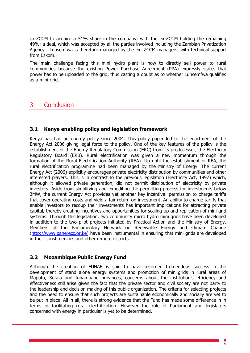ex-ZCCM to acquire a 51% share in the company, with the ex-ZCCM holding the remaining 49%; a deal, which was accepted by all the parties involved including the Zambian Privatization Agency. Lunsemfwa is therefore managed by the ex- ZCCM managers, with technical support from Eskom.

The main challenge facing this mini hydro plant is how to directly sell power to rural communities because the existing Power Purchase Agreement (PPA) expressly states that power has to be uploaded to the grid, thus casting a doubt as to whether Lunsemfwa qualifies as a mini-grid.

### <span id="page-11-0"></span>3 Conclusion

#### <span id="page-11-1"></span>**3.1 Kenya enabling policy and legislation framework**

Kenya has had an energy policy since 2004. This policy paper led to the enactment of the Energy Act 2006 giving legal force to the policy. One of the key features of the policy is the establishment of the Energy Regulatory Commission (ERC) from its predecessor, the Electricity Regulatory Board (ERB). Rural electrification was given a new momentum through the formation of the Rural Electrification Authority (REA). Up until the establishment of REA, the rural electrification programme had been managed by the Ministry of Energy. The current Energy Act (2006) explicitly encourages private electricity distribution by communities and other interested players. This is in contrast to the previous legislation (Electricity Act, 1997) which, although it allowed private generation, did not permit distribution of electricity by private investors. Aside from simplifying and expediting the permitting process for investments below 3MW, the current Energy Act provides yet another key incentive: permission to charge tariffs that cover operating costs and yield a fair return on investment. An ability to charge tariffs that enable investors to recoup their investments has important implications for attracting private capital, thereby creating incentives and opportunities for scaling-up and replication of mini-grid systems. Through this legislation, two community micro hydro mini grids have been developed in addition to the two pilot projects initiated by Practical Action and the Ministry of Energy. Members of the Parliamentary Network on Renewable Energy and Climate Change [\(http://www.panerecc.or.ke\)](http://www.panerecc.or.ke/) have been instrumental in ensuring that mini grids are developed in their constituencies and other remote districts.

#### <span id="page-11-2"></span>**3.2 Mozambique Public Energy Fund**

Although the creation of FUNAE is said to have recorded tremendous success in the development of stand alone energy systems and promotion of min grids in rural areas of Maputo, Sofala and Inhambane provinces, concerns about the institution's efficiency and effectiveness still arise given the fact that the private sector and civil society are not party to the leadership and decision making of this public organization. The criteria for selecting projects and the need to ensure that such projects are sustainable economically and socially are yet to be put in place. All in all, there is strong evidence that the Fund has made some difference in in terms of facilitating rural electrification. However the role of Parliament and legislators concerned with energy in particular is yet to be determined.